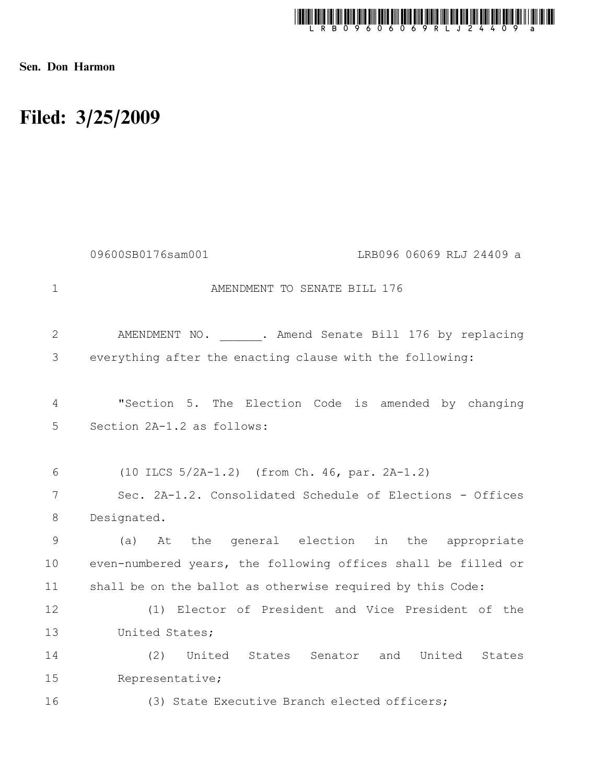

Sen. Don Harmon

## Filed: 3/25/2009

|                | 09600SB0176sam001<br>LRB096 06069 RLJ 24409 a                 |
|----------------|---------------------------------------------------------------|
| $\mathbf 1$    | AMENDMENT TO SENATE BILL 176                                  |
| $\overline{2}$ | AMENDMENT NO. . Amend Senate Bill 176 by replacing            |
| 3              | everything after the enacting clause with the following:      |
| 4              | "Section 5. The Election Code is amended by changing          |
| 5              | Section 2A-1.2 as follows:                                    |
| 6              | $(10$ ILCS $5/2A-1.2)$ (from Ch. 46, par. 2A-1.2)             |
| 7              | Sec. 2A-1.2. Consolidated Schedule of Elections - Offices     |
| $8\,$          | Designated.                                                   |
| 9              | At the general election in the appropriate<br>(a)             |
| 10             | even-numbered years, the following offices shall be filled or |
| 11             | shall be on the ballot as otherwise required by this Code:    |
| 12             | (1) Elector of President and Vice President of the            |
| 13             | United States;                                                |
| 14             | United States Senator and United<br>(2)<br>States             |
| 15             | Representative;                                               |
| 16             | (3) State Executive Branch elected officers;                  |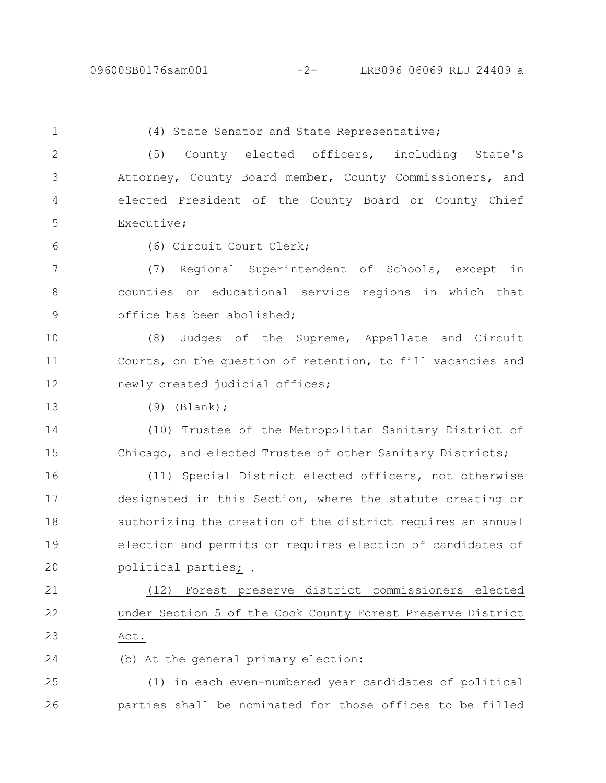1

## (4) State Senator and State Representative;

(5) County elected officers, including State's Attorney, County Board member, County Commissioners, and elected President of the County Board or County Chief Executive; 2 3 4 5

6

(6) Circuit Court Clerk;

(7) Regional Superintendent of Schools, except in counties or educational service regions in which that office has been abolished; 7 8 9

(8) Judges of the Supreme, Appellate and Circuit Courts, on the question of retention, to fill vacancies and newly created judicial offices; 10 11 12

13

(9) (Blank);

(10) Trustee of the Metropolitan Sanitary District of Chicago, and elected Trustee of other Sanitary Districts; 14 15

(11) Special District elected officers, not otherwise designated in this Section, where the statute creating or authorizing the creation of the district requires an annual election and permits or requires election of candidates of political parties; -16 17 18 19 20

(12) Forest preserve district commissioners elected under Section 5 of the Cook County Forest Preserve District Act. 21 22 23

(b) At the general primary election: 24

(1) in each even-numbered year candidates of political parties shall be nominated for those offices to be filled 25 26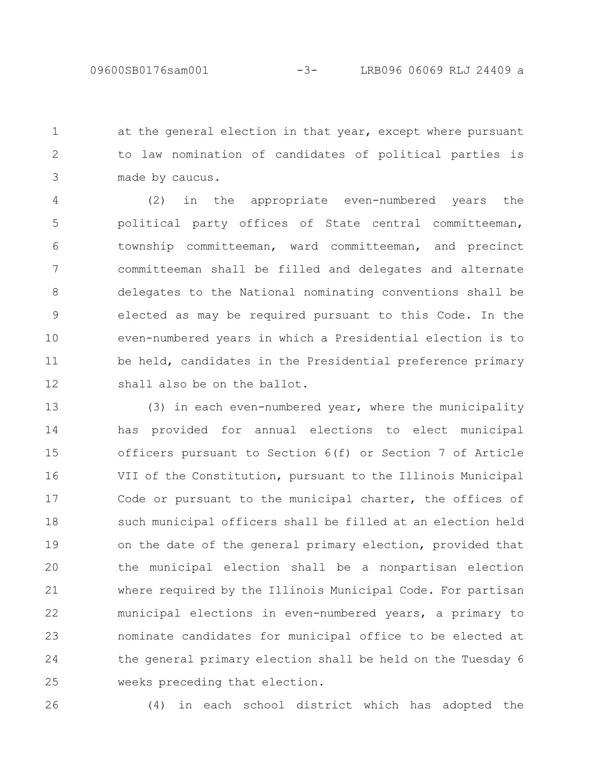at the general election in that year, except where pursuant to law nomination of candidates of political parties is made by caucus. 1 2 3

(2) in the appropriate even-numbered years the political party offices of State central committeeman, township committeeman, ward committeeman, and precinct committeeman shall be filled and delegates and alternate delegates to the National nominating conventions shall be elected as may be required pursuant to this Code. In the even-numbered years in which a Presidential election is to be held, candidates in the Presidential preference primary shall also be on the ballot. 4 5 6 7 8 9 10 11 12

(3) in each even-numbered year, where the municipality has provided for annual elections to elect municipal officers pursuant to Section 6(f) or Section 7 of Article VII of the Constitution, pursuant to the Illinois Municipal Code or pursuant to the municipal charter, the offices of such municipal officers shall be filled at an election held on the date of the general primary election, provided that the municipal election shall be a nonpartisan election where required by the Illinois Municipal Code. For partisan municipal elections in even-numbered years, a primary to nominate candidates for municipal office to be elected at the general primary election shall be held on the Tuesday 6 weeks preceding that election. 13 14 15 16 17 18 19 20 21 22 23 24 25

26

(4) in each school district which has adopted the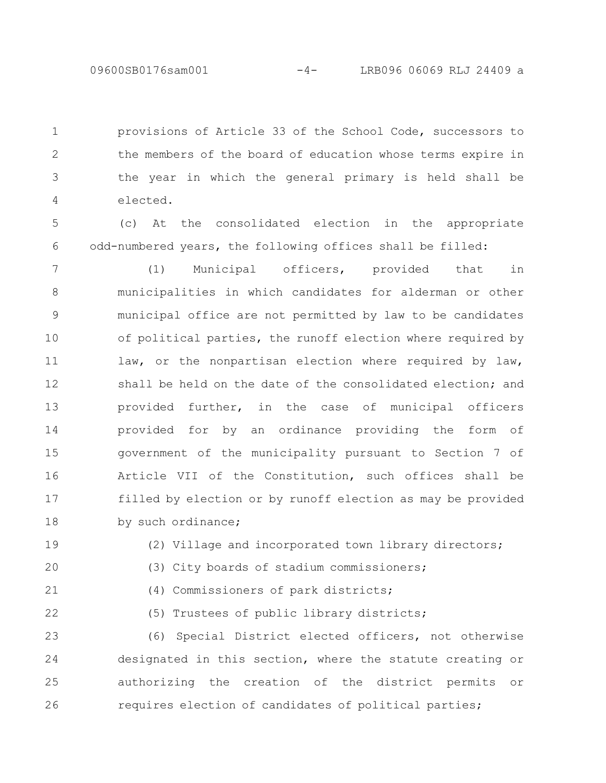provisions of Article 33 of the School Code, successors to the members of the board of education whose terms expire in the year in which the general primary is held shall be elected. 1 2 3 4

(c) At the consolidated election in the appropriate odd-numbered years, the following offices shall be filled: 5 6

(1) Municipal officers, provided that in municipalities in which candidates for alderman or other municipal office are not permitted by law to be candidates of political parties, the runoff election where required by law, or the nonpartisan election where required by law, shall be held on the date of the consolidated election; and provided further, in the case of municipal officers provided for by an ordinance providing the form of government of the municipality pursuant to Section 7 of Article VII of the Constitution, such offices shall be filled by election or by runoff election as may be provided by such ordinance; 7 8 9 10 11 12 13 14 15 16 17 18

19

(2) Village and incorporated town library directors;

(3) City boards of stadium commissioners;

20

21

(4) Commissioners of park districts;

22

(5) Trustees of public library districts;

(6) Special District elected officers, not otherwise designated in this section, where the statute creating or authorizing the creation of the district permits or requires election of candidates of political parties; 23 24 25 26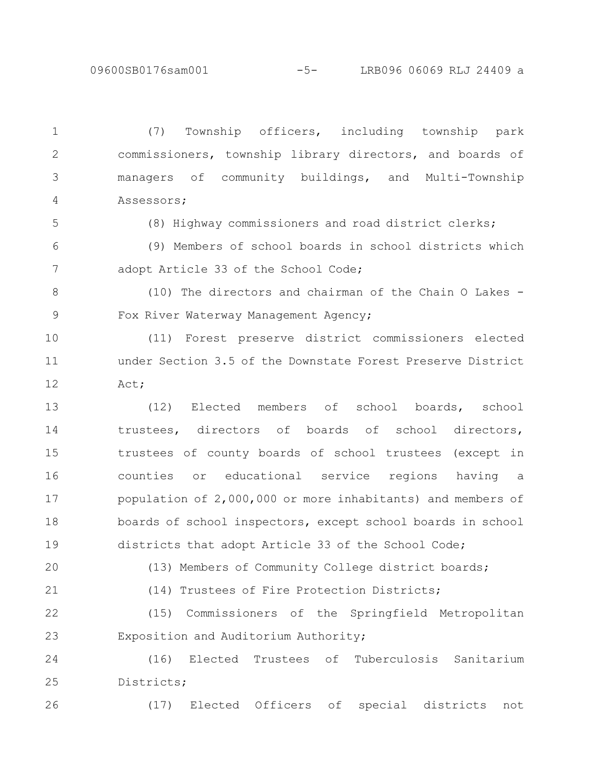09600SB0176sam001 -5- LRB096 06069 RLJ 24409 a

(7) Township officers, including township park commissioners, township library directors, and boards of managers of community buildings, and Multi-Township Assessors; (8) Highway commissioners and road district clerks; (9) Members of school boards in school districts which adopt Article 33 of the School Code; (10) The directors and chairman of the Chain O Lakes - Fox River Waterway Management Agency; (11) Forest preserve district commissioners elected under Section 3.5 of the Downstate Forest Preserve District Act; (12) Elected members of school boards, school trustees, directors of boards of school directors, trustees of county boards of school trustees (except in counties or educational service regions having a population of 2,000,000 or more inhabitants) and members of boards of school inspectors, except school boards in school districts that adopt Article 33 of the School Code; (13) Members of Community College district boards; (14) Trustees of Fire Protection Districts; (15) Commissioners of the Springfield Metropolitan Exposition and Auditorium Authority; (16) Elected Trustees of Tuberculosis Sanitarium Districts; (17) Elected Officers of special districts not 1 2 3 4 5 6 7 8 9 10 11 12 13 14 15 16 17 18 19 20 21 22 23 24 25 26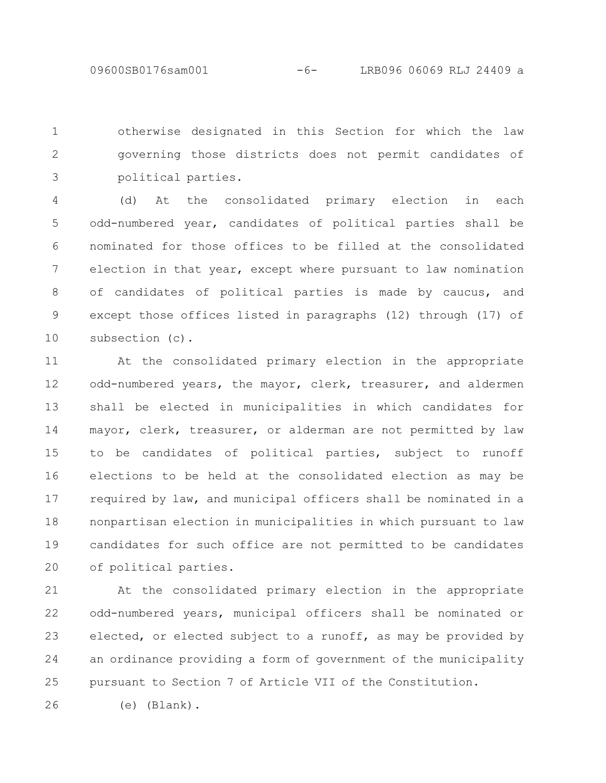09600SB0176sam001 -6- LRB096 06069 RLJ 24409 a

otherwise designated in this Section for which the law governing those districts does not permit candidates of political parties. 1 2 3

(d) At the consolidated primary election in each odd-numbered year, candidates of political parties shall be nominated for those offices to be filled at the consolidated election in that year, except where pursuant to law nomination of candidates of political parties is made by caucus, and except those offices listed in paragraphs (12) through (17) of subsection (c). 4 5 6 7 8 9 10

At the consolidated primary election in the appropriate odd-numbered years, the mayor, clerk, treasurer, and aldermen shall be elected in municipalities in which candidates for mayor, clerk, treasurer, or alderman are not permitted by law to be candidates of political parties, subject to runoff elections to be held at the consolidated election as may be required by law, and municipal officers shall be nominated in a nonpartisan election in municipalities in which pursuant to law candidates for such office are not permitted to be candidates of political parties. 11 12 13 14 15 16 17 18 19 20

At the consolidated primary election in the appropriate odd-numbered years, municipal officers shall be nominated or elected, or elected subject to a runoff, as may be provided by an ordinance providing a form of government of the municipality pursuant to Section 7 of Article VII of the Constitution. 21 22 23 24 25

26

(e) (Blank).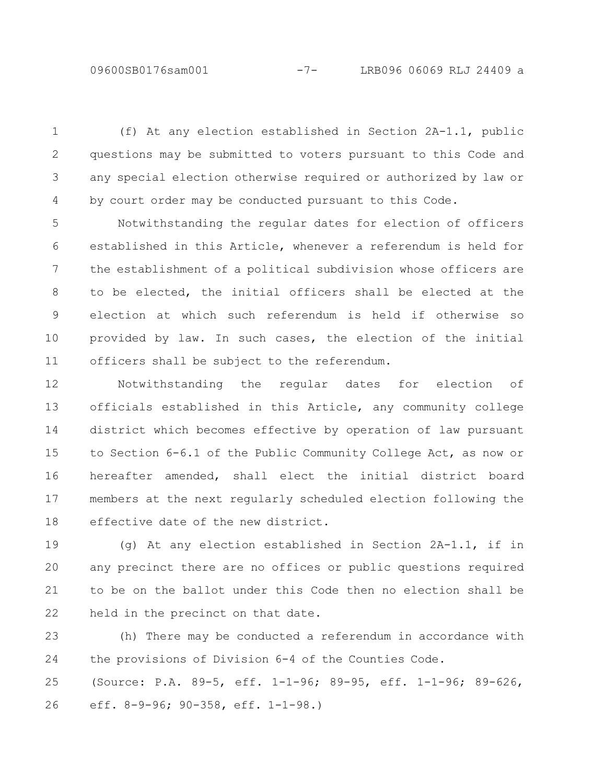(f) At any election established in Section 2A-1.1, public questions may be submitted to voters pursuant to this Code and any special election otherwise required or authorized by law or by court order may be conducted pursuant to this Code. 1 2 3 4

Notwithstanding the regular dates for election of officers established in this Article, whenever a referendum is held for the establishment of a political subdivision whose officers are to be elected, the initial officers shall be elected at the election at which such referendum is held if otherwise so provided by law. In such cases, the election of the initial officers shall be subject to the referendum. 5 6 7 8 9 10 11

Notwithstanding the regular dates for election of officials established in this Article, any community college district which becomes effective by operation of law pursuant to Section 6-6.1 of the Public Community College Act, as now or hereafter amended, shall elect the initial district board members at the next regularly scheduled election following the effective date of the new district. 12 13 14 15 16 17 18

(g) At any election established in Section 2A-1.1, if in any precinct there are no offices or public questions required to be on the ballot under this Code then no election shall be held in the precinct on that date. 19 20 21 22

(h) There may be conducted a referendum in accordance with the provisions of Division 6-4 of the Counties Code. (Source: P.A. 89-5, eff. 1-1-96; 89-95, eff. 1-1-96; 89-626, eff. 8-9-96; 90-358, eff. 1-1-98.) 23 24 25 26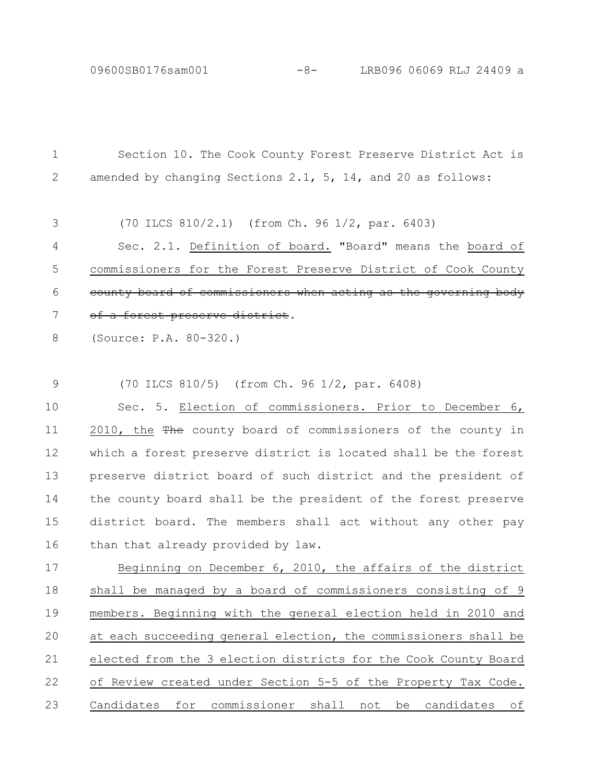Section 10. The Cook County Forest Preserve District Act is amended by changing Sections 2.1, 5, 14, and 20 as follows: (70 ILCS 810/2.1) (from Ch. 96 1/2, par. 6403) Sec. 2.1. Definition of board. "Board" means the board of commissioners for the Forest Preserve District of Cook County county board of commissioners when acting as the governing a forest preserve district. (Source: P.A. 80-320.) (70 ILCS 810/5) (from Ch. 96 1/2, par. 6408) Sec. 5. Election of commissioners. Prior to December 6, 2010, the The county board of commissioners of the county in which a forest preserve district is located shall be the forest preserve district board of such district and the president of the county board shall be the president of the forest preserve district board. The members shall act without any other pay than that already provided by law. Beginning on December 6, 2010, the affairs of the district shall be managed by a board of commissioners consisting of 9 members. Beginning with the general election held in 2010 and at each succeeding general election, the commissioners shall be elected from the 3 election districts for the Cook County Board of Review created under Section 5-5 of the Property Tax Code. Candidates for commissioner shall not be candidates of 1 2 3 4 5 6 7 8 9 10 11 12 13 14 15 16 17 18 19 20 21 22 23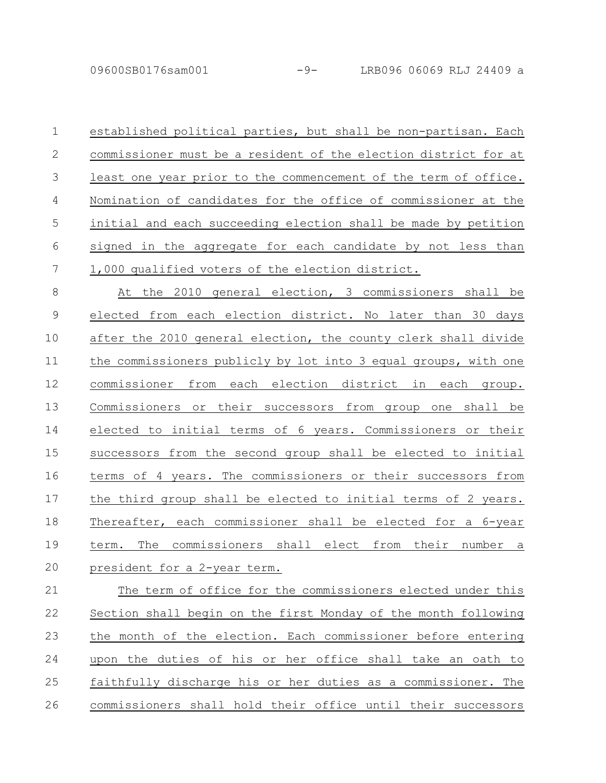09600SB0176sam001 -9- LRB096 06069 RLJ 24409 a

established political parties, but shall be non-partisan. Each commissioner must be a resident of the election district for at least one year prior to the commencement of the term of office. Nomination of candidates for the office of commissioner at the initial and each succeeding election shall be made by petition signed in the aggregate for each candidate by not less than 1,000 qualified voters of the election district. 1 2 3 4 5 6 7

At the 2010 general election, 3 commissioners shall be elected from each election district. No later than 30 days after the 2010 general election, the county clerk shall divide the commissioners publicly by lot into 3 equal groups, with one commissioner from each election district in each group. Commissioners or their successors from group one shall be elected to initial terms of 6 years. Commissioners or their successors from the second group shall be elected to initial terms of 4 years. The commissioners or their successors from the third group shall be elected to initial terms of 2 years. Thereafter, each commissioner shall be elected for a 6-year term. The commissioners shall elect from their number a president for a 2-year term. 8 9 10 11 12 13 14 15 16 17 18 19 20

The term of office for the commissioners elected under this Section shall begin on the first Monday of the month following the month of the election. Each commissioner before entering upon the duties of his or her office shall take an oath to faithfully discharge his or her duties as a commissioner. The commissioners shall hold their office until their successors 21 22 23 24 25 26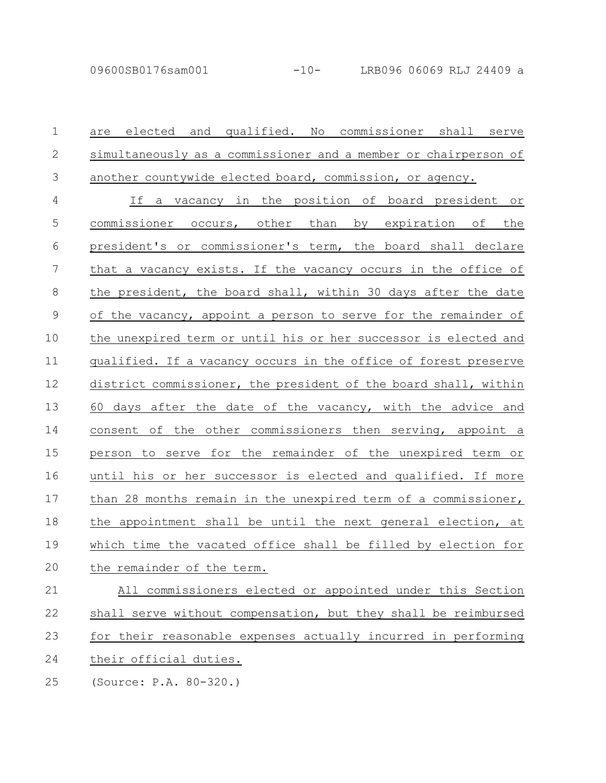| $\mathbf 1$    | and qualified. No commissioner shall serve<br>are elected       |
|----------------|-----------------------------------------------------------------|
| $\mathbf{2}$   | simultaneously as a commissioner and a member or chairperson of |
| $\mathfrak{Z}$ | another countywide elected board, commission, or agency.        |
| $\overline{4}$ | If a vacancy in the position of board president or              |
| 5              | commissioner occurs, other than by expiration of the            |
| 6              | president's or commissioner's term, the board shall declare     |
| 7              | that a vacancy exists. If the vacancy occurs in the office of   |
| 8              | the president, the board shall, within 30 days after the date   |
| $\mathcal{G}$  | of the vacancy, appoint a person to serve for the remainder of  |
| 10             | the unexpired term or until his or her successor is elected and |
| 11             | qualified. If a vacancy occurs in the office of forest preserve |
| 12             | district commissioner, the president of the board shall, within |
| 13             | 60 days after the date of the vacancy, with the advice and      |
| 14             | consent of the other commissioners then serving, appoint a      |
| 15             | person to serve for the remainder of the unexpired term or      |
| 16             | until his or her successor is elected and qualified. If more    |
| 17             | than 28 months remain in the unexpired term of a commissioner,  |
| 18             | the appointment shall be until the next general election, at    |
| 19             | which time the vacated office shall be filled by election for   |
| 20             | the remainder of the term.                                      |
| 21             | All commissioners elected or appointed under this Section       |
| 22             | shall serve without compensation, but they shall be reimbursed  |
| 23             | for their reasonable expenses actually incurred in performing   |
| 24             | their official duties.                                          |

(Source: P.A. 80-320.) 25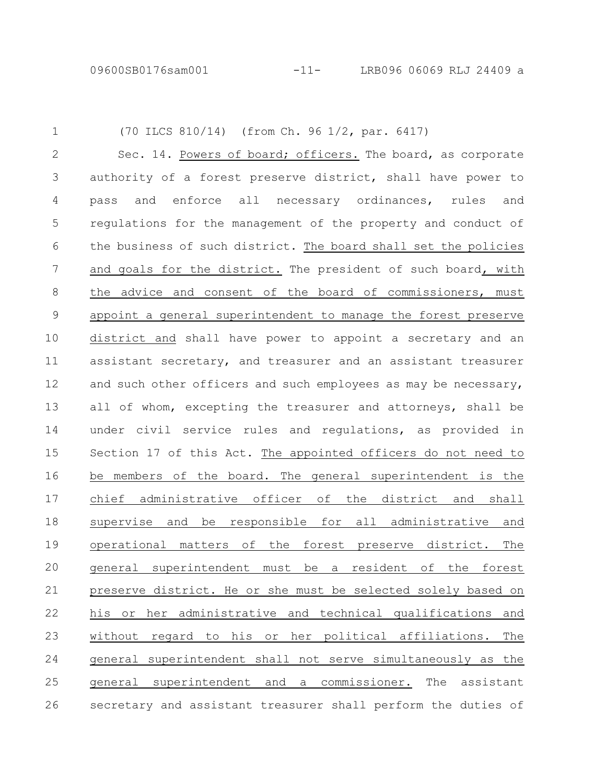09600SB0176sam001 -11- LRB096 06069 RLJ 24409 a

1

(70 ILCS 810/14) (from Ch. 96 1/2, par. 6417)

Sec. 14. Powers of board; officers. The board, as corporate authority of a forest preserve district, shall have power to pass and enforce all necessary ordinances, rules and regulations for the management of the property and conduct of the business of such district. The board shall set the policies and goals for the district. The president of such board, with the advice and consent of the board of commissioners, must appoint a general superintendent to manage the forest preserve district and shall have power to appoint a secretary and an assistant secretary, and treasurer and an assistant treasurer and such other officers and such employees as may be necessary, all of whom, excepting the treasurer and attorneys, shall be under civil service rules and regulations, as provided in Section 17 of this Act. The appointed officers do not need to be members of the board. The general superintendent is the chief administrative officer of the district and shall supervise and be responsible for all administrative and operational matters of the forest preserve district. The general superintendent must be a resident of the forest preserve district. He or she must be selected solely based on his or her administrative and technical qualifications and without regard to his or her political affiliations. The general superintendent shall not serve simultaneously as the general superintendent and a commissioner. The assistant secretary and assistant treasurer shall perform the duties of 2 3 4 5 6 7 8 9 10 11 12 13 14 15 16 17 18 19 20 21 22 23 24 25 26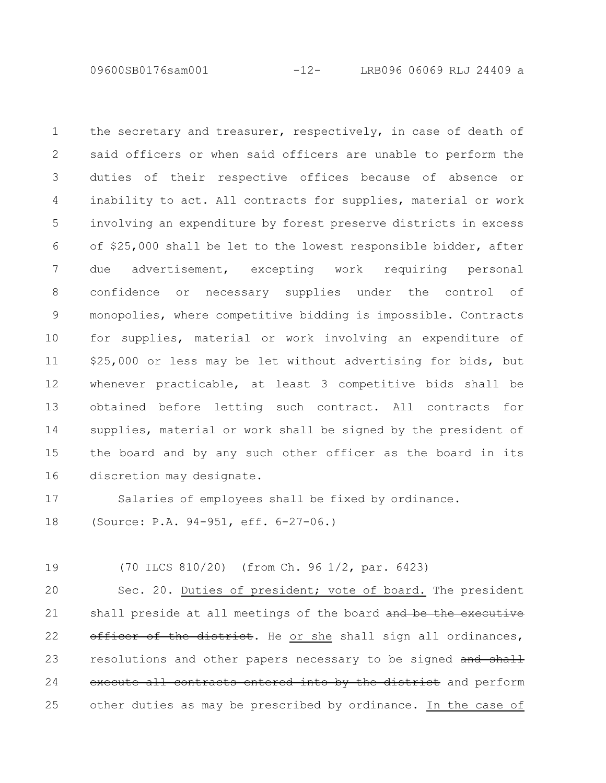09600SB0176sam001 -12- LRB096 06069 RLJ 24409 a

the secretary and treasurer, respectively, in case of death of said officers or when said officers are unable to perform the duties of their respective offices because of absence or inability to act. All contracts for supplies, material or work involving an expenditure by forest preserve districts in excess of \$25,000 shall be let to the lowest responsible bidder, after due advertisement, excepting work requiring personal confidence or necessary supplies under the control of monopolies, where competitive bidding is impossible. Contracts for supplies, material or work involving an expenditure of \$25,000 or less may be let without advertising for bids, but whenever practicable, at least 3 competitive bids shall be obtained before letting such contract. All contracts for supplies, material or work shall be signed by the president of the board and by any such other officer as the board in its discretion may designate. 1 2 3 4 5 6 7 8 9 10 11 12 13 14 15 16

Salaries of employees shall be fixed by ordinance. 17

(Source: P.A. 94-951, eff. 6-27-06.) 18

(70 ILCS 810/20) (from Ch. 96 1/2, par. 6423) 19

Sec. 20. Duties of president; vote of board. The president shall preside at all meetings of the board and be the executive officer of the district. He or she shall sign all ordinances, resolutions and other papers necessary to be signed and shall execute all contracts entered into by the district and perform other duties as may be prescribed by ordinance. In the case of 20 21 22 23 24 25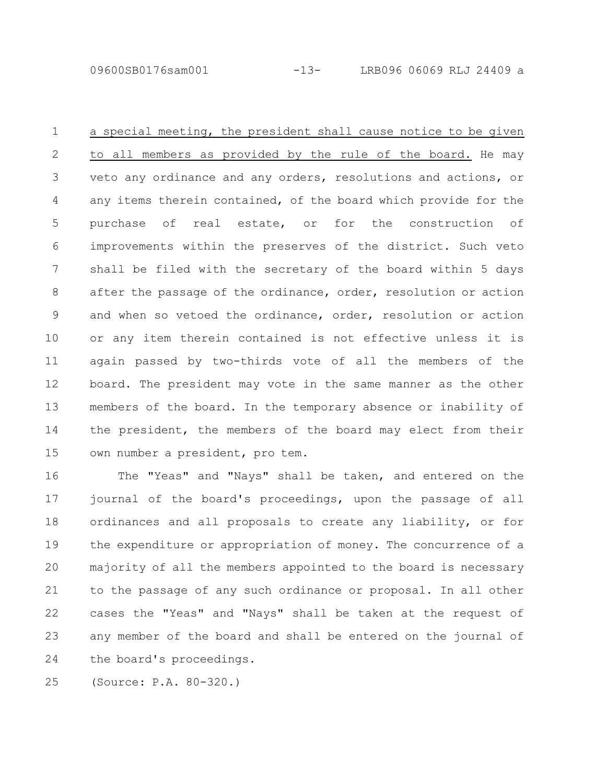09600SB0176sam001 -13- LRB096 06069 RLJ 24409 a

a special meeting, the president shall cause notice to be given to all members as provided by the rule of the board. He may veto any ordinance and any orders, resolutions and actions, or any items therein contained, of the board which provide for the purchase of real estate, or for the construction of improvements within the preserves of the district. Such veto shall be filed with the secretary of the board within 5 days after the passage of the ordinance, order, resolution or action and when so vetoed the ordinance, order, resolution or action or any item therein contained is not effective unless it is again passed by two-thirds vote of all the members of the board. The president may vote in the same manner as the other members of the board. In the temporary absence or inability of the president, the members of the board may elect from their own number a president, pro tem. 1 2 3 4 5 6 7 8 9 10 11 12 13 14 15

The "Yeas" and "Nays" shall be taken, and entered on the journal of the board's proceedings, upon the passage of all ordinances and all proposals to create any liability, or for the expenditure or appropriation of money. The concurrence of a majority of all the members appointed to the board is necessary to the passage of any such ordinance or proposal. In all other cases the "Yeas" and "Nays" shall be taken at the request of any member of the board and shall be entered on the journal of the board's proceedings. 16 17 18 19 20 21 22 23 24

(Source: P.A. 80-320.) 25